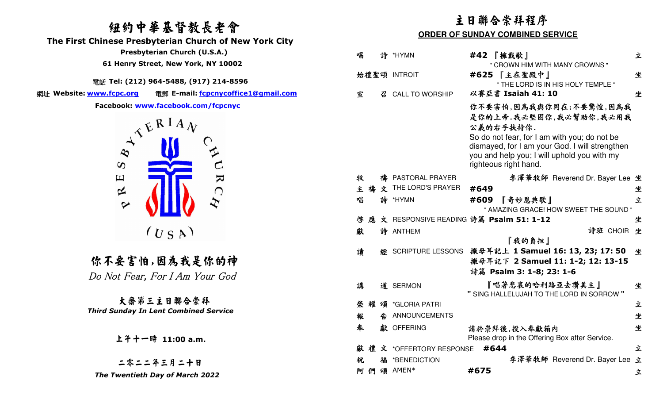## 紐約中華基督教長老會

 **The First Chinese Presbyterian Church of New York City** 

電話 **Tel: (212) 964-5488, (917) 214-8596** 

網址 Website: www.fcpc.org



你不要害怕,因為我是你的神 Do Not Fear, For I Am Your God

大齋第三主日聯合崇拜 *Third Sunday In Lent Combined Service*

上午十一時 **11:00 a.m.**

| 纽约中華基督教長老會<br>hinese Presbyterian Church of New York City                                                                                                                                                                                                                                                                                                                                                                                                                                          |        |                             |                              | 主日聯合崇拜程序<br><b>ORDER OF SUNDAY COMBINED SERVICE</b>                                                                                                                                                                                     |   |
|----------------------------------------------------------------------------------------------------------------------------------------------------------------------------------------------------------------------------------------------------------------------------------------------------------------------------------------------------------------------------------------------------------------------------------------------------------------------------------------------------|--------|-----------------------------|------------------------------|-----------------------------------------------------------------------------------------------------------------------------------------------------------------------------------------------------------------------------------------|---|
| Presbyterian Church (U.S.A.)                                                                                                                                                                                                                                                                                                                                                                                                                                                                       | 唱      |                             | 詩 *HYMN                      | #42 【擁戴歌】                                                                                                                                                                                                                               | 立 |
| 61 Henry Street, New York, NY 10002                                                                                                                                                                                                                                                                                                                                                                                                                                                                |        |                             |                              | " CROWN HIM WITH MANY CROWNS "                                                                                                                                                                                                          |   |
| iiii Tel: (212) 964-5488, (917) 214-8596                                                                                                                                                                                                                                                                                                                                                                                                                                                           |        |                             | 始禮聖頌 INTROIT                 | #625 【主在聖殿中】<br>" THE LORD IS IN HIS HOLY TEMPLE "                                                                                                                                                                                      | 坐 |
| ww.fcpc.org<br>電郵 E-mail: fcpcnycoffice1@gmail.com                                                                                                                                                                                                                                                                                                                                                                                                                                                 | 宣      | $\mathcal{B}_{\mathcal{C}}$ | <b>CALL TO WORSHIP</b>       | 以賽亞書 Isaiah 41: 10                                                                                                                                                                                                                      | 坐 |
| Facebook: www.facebook.com/fcpcnyc<br>$\begin{array}{ccc}\n\mathcal{N} & \mathcal{N} & \mathbb{R} & \mathbb{R} & \mathbb{R} & \mathbb{R} & \mathbb{R} & \mathbb{R} & \mathbb{R} & \mathbb{R} & \mathbb{R} & \mathbb{R} & \mathbb{R} & \mathbb{R} & \mathbb{R} & \mathbb{R} & \mathbb{R} & \mathbb{R} & \mathbb{R} & \mathbb{R} & \mathbb{R} & \mathbb{R} & \mathbb{R} & \mathbb{R} & \mathbb{R} & \mathbb{R} & \mathbb{R} & \mathbb{R} & \mathbb{R} & \mathbb{R} & \math$<br>$\boldsymbol{\omega}$ |        |                             |                              | 你不要害怕,因為我與你同在;不要驚惶,因為我<br>是你的上帝.我必堅固你,我必幫助你,我必用我<br>公義的右手扶持你.<br>So do not fear, for I am with you; do not be<br>dismayed, for I am your God. I will strengthen<br>you and help you; I will uphold you with my<br>righteous right hand. |   |
| $\mathbf{\Sigma}$<br>$\Xi$                                                                                                                                                                                                                                                                                                                                                                                                                                                                         | 牧      |                             | 禱 PASTORAL PRAYER            | 李澤華牧師 Reverend Dr. Bayer Lee 坐                                                                                                                                                                                                          |   |
| 区<br>$\bigcap$                                                                                                                                                                                                                                                                                                                                                                                                                                                                                     |        |                             | 主 禱 文 THE LORD'S PRAYER      | #649                                                                                                                                                                                                                                    | 坐 |
| $\bm{\mathcal{Z}}$<br>$\sim$                                                                                                                                                                                                                                                                                                                                                                                                                                                                       | 唱      |                             | 詩 *HYMN                      | #609<br>『奇妙恩典歌』<br>" AMAZING GRACE! HOW SWEET THE SOUND "                                                                                                                                                                               | 立 |
|                                                                                                                                                                                                                                                                                                                                                                                                                                                                                                    | 應<br>啓 |                             |                              | 文 RESPONSIVE READING 詩篇 Psalm 51: 1-12                                                                                                                                                                                                  | 坐 |
| $(U_S A)$                                                                                                                                                                                                                                                                                                                                                                                                                                                                                          | 獻      |                             | 詩 ANTHEM                     | 詩班 CHOIR 坐                                                                                                                                                                                                                              |   |
| 尔不要害怕,因為我是你的神<br>o Not Fear, For I Am Your God                                                                                                                                                                                                                                                                                                                                                                                                                                                     | 讀      |                             |                              | 『我的負担』<br>經 SCRIPTURE LESSONS 撒母耳記上 1 Samuel 16: 13, 23; 17: 50 坐<br>撇母耳記下 2 Samuel 11: 1-2; 12: 13-15<br>詩篇 Psalm 3: 1-8; 23: 1-6                                                                                                      |   |
|                                                                                                                                                                                                                                                                                                                                                                                                                                                                                                    | 講      |                             | 道 SERMON                     | 『唱著悲哀的哈利路亞去讚美主』<br>" SING HALLELUJAH TO THE LORD IN SORROW"                                                                                                                                                                             | 坐 |
| 大齋第三主日聯合崇拜                                                                                                                                                                                                                                                                                                                                                                                                                                                                                         |        |                             | 耀 頌 *GLORIA PATRI            |                                                                                                                                                                                                                                         | 立 |
| ird Sunday In Lent Combined Service                                                                                                                                                                                                                                                                                                                                                                                                                                                                | 報      |                             | ANNOUNCEMENTS                |                                                                                                                                                                                                                                         | 坐 |
| 上千十一時 11:00 a.m.                                                                                                                                                                                                                                                                                                                                                                                                                                                                                   | 奉      |                             | 獻 OFFERING                   | 請於崇拜後,投入奉獻箱内<br>Please drop in the Offering Box after Service.                                                                                                                                                                          | 坐 |
|                                                                                                                                                                                                                                                                                                                                                                                                                                                                                                    |        |                             | 獻禮文 *OFFERTORY RESPONSE #644 |                                                                                                                                                                                                                                         | 立 |
| 二零二二年三月二十日                                                                                                                                                                                                                                                                                                                                                                                                                                                                                         | 祝      |                             | 福 *BENEDICTION               | 李澤華牧師 Reverend Dr. Bayer Lee 立                                                                                                                                                                                                          |   |
| The Twentieth Day of March 2022                                                                                                                                                                                                                                                                                                                                                                                                                                                                    |        |                             | 阿們頌 AMEN*                    | #675                                                                                                                                                                                                                                    | 立 |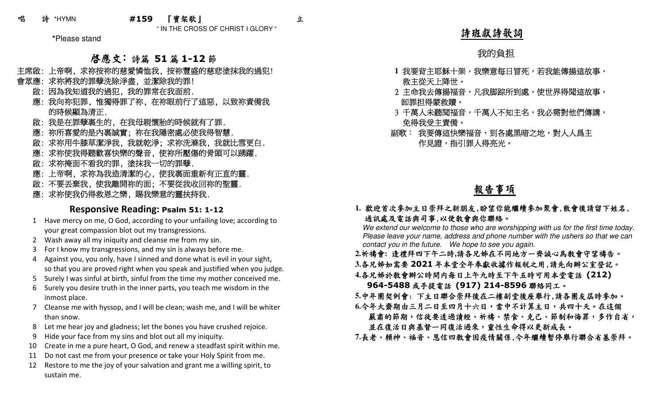" IN THE CROSS OF CHRIST I GLORY "

**\***Please stand

# **啓應文:** 詩篇 51篇 1-12節<br>《協议的慈愛機师我、協议豐成的慈

- 主席啟: 上帝啊, 求祢按祢的慈愛憐恤我, 按祢豐盛的慈悲塗抹我的過犯!
- 會眾應: 求祢將我的罪孽洗除淨盡, 並潔除我的罪!
	- 啟: 因為我知道我的過犯, 我的罪常在我面前.
	- 應: 我向祢犯罪, 惟獨得罪了祢, 在祢眼前行了這惡, 以致祢責備我 的時候顯為清正.
	- 啟: 我是在罪孽裏生的, 在我母親懷胎的時候就有了罪.
	- 應: 祢所喜愛的是內裏誠實; 祢在我隱密處必使我得智慧.
	- 啟: 求祢用牛膝草潔淨我, 我就乾淨; 求祢洗滌我, 我就比雪更白.
	- 應: 求祢使我得聽歡喜快樂的聲音, 使祢所壓傷的骨頭可以踴躍.
	- 啟: 求祢掩面不看我的罪, 塗抹我一切的罪孽.
	- 應: 上帝啊, 求祢為我造清潔的心, 使我裏面重新有正直的靈.
	- 啟: 不要丟棄我, 使我離開祢的面; 不要從我收回祢的聖靈.
	- 應: 求祢使我仍得救恩之樂, 賜我樂意的靈扶持我.

## **Responsive Reading: Psalm 51: 1-12**

- 1 Have mercy on me, O God, according to your unfailing love; according to your great compassion blot out my transgressions.
- 2 Wash away all my iniquity and cleanse me from my sin.
- 3 For I know my transgressions, and my sin is always before me.
- 4 Against you, you only, have I sinned and done what is evil in your sight, so that you are proved right when you speak and justified when you judge.
- 5 Surely I was sinful at birth, sinful from the time my mother conceived me.
- 6 Surely you desire truth in the inner parts, you teach me wisdom in the inmost place.
- 7 Cleanse me with hyssop, and I will be clean; wash me, and I will be whiter than snow.
- 8 Let me hear joy and gladness; let the bones you have crushed rejoice.
- 9 Hide your face from my sins and blot out all my iniquity.
- 10 Create in me a pure heart, O God, and renew a steadfast spirit within me.
- 11 Do not cast me from your presence or take your Holy Spirit from me.
- 12 Restore to me the joy of your salvation and grant me a willing spirit, to sustain me.

## 詩班獻詩歌詞

## 我的負担

- 1 我要背主耶穌十架,我樂意每日冒死,若我能傳揚這故事, 救主從天上降世。
- 2 主命我去傳揚福音,凡我脚踪所到處,使世界得聞這故事, 卸罪担得蒙救贖。
- 3 千萬人未聽聞福音,千萬人不知主名,我必需對他們傳講, 免得我受主責備。
- 副歌: 我要傳這快樂福音,到各處黑暗之地,對人人爲主 作見證,指引罪人得亮光。

報告事項

### **1.** 歡迎首次參加主日崇拜之新朋友,盼望你能繼續參加聚會,散會後請留下姓名, 通訊處及電話與司事,以便教會與你聯絡。

 We extend our welcome to those who are worshipping with us for the first time today. Please leave your name, address and phone number with the ushers so that we can contact you in the future. We hope to see you again.

- **2.**祈禱會**:** 逢禮拜四下午二時**,**請各兄姊在不同地方一齊誠心為教會守望禱告。
- 3.各兄姊如需要 2021 年本堂全年奉獻收據作報税之用,請先向辦公室登記。<br>4.冬日始秋秋会辦公時明中每日上午上時至下午天時可用土尚電社(212)
- **4.**各兄姊於教會辦公時間內每日上午九時至下午五時可用本堂電話 **(212)**
- **964-5488**或手提電話 **(917) 214-8596** 聯絡同工。
- **5.**中年團契例會: 下主日聯合崇拜後在二樓副堂後座舉行,請各團友屆時參加。
- **6.**今年大齋期由三月二日至四月十六日,當中不計算主日,共四十天。在這個
- 嚴肅的節期,信徒要透過讀經、祈禱、禁食、克己、節制和悔罪,多作自省, 並在復活日與基督一同復活過來,靈性生命得以更新成長。
- **7.**長老、賴神、福音、恩信四教會因疫情關係,今年繼續暫停舉行聯合省墓崇拜。

立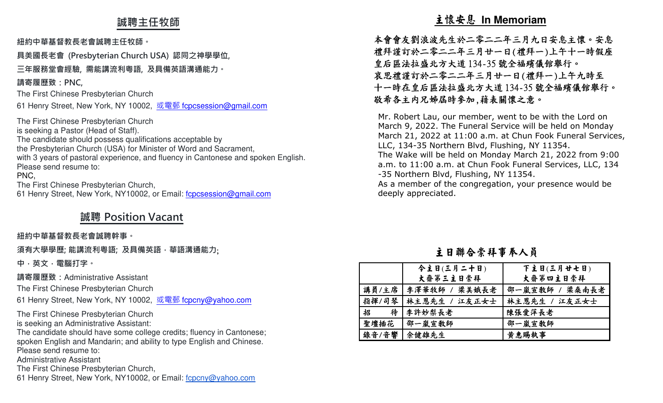## **誠聘主任牧師**

### **紐約中華基督教⻑老會誠聘主任牧師。**

**具美國⻑老會 (Presbyterian Church USA) 認同之神學學位,** 

**三年服務堂會經驗, 需能講流利粵語, 及具備英語溝通能力。** 

## **請寄履歷致:PNC,**

The First Chinese Presbyterian Church

61 Henry Street, New York, NY 10002, <u>或電郵 f<mark>cpcsession@gmail.com</mark></u>

The First Chinese Presbyterian Church is seeking a Pastor (Head of Staff). The candidate should possess qualifications acceptable by the Presbyterian Church (USA) for Minister of Word and Sacrament, with 3 years of pastoral experience, and fluency in Cantonese and spoken English.Please send resume to: PNC, The First Chinese Presbyterian Church,

61 Henry Street, New York, NY10002, or Email: fcpcsession@gmail.com

## **誠聘 Position Vacant**

### **紐約中華基督教⻑老會誠聘幹事。**

**須有大學學歷; 能講流利粵語; 及具備英語,華語溝通能力**;

**中,英文,電腦打字。 請寄履歷致:**Administrative Assistant

The First Chinese Presbyterian Church

61 Henry Street, New York, NY 10002, <u>或電郵 f<mark>cpcny@yahoo.com</mark></u>

The First Chinese Presbyterian Church is seeking an Administrative Assistant:

 The candidate should have some college credits; fluency in Cantonese; spoken English and Mandarin; and ability to type English and Chinese.Please send resume to:

Administrative Assistant

The First Chinese Presbyterian Church,

61 Henry Street, New York, NY10002, or Email: fcpcny@yahoo.com

 $\begin{tabular}{ll} $\begin{array}{l} \textbf{1.86\textwidth} \begin{tabular}{ll} \textbf{2.87\textwidth} \begin{tabular}{ll} \textbf{2.88\textwidth} \begin{tabular}{ll} \textbf{2.89\textwidth} \begin{tabular}{ll} \textbf{2.89\textwidth} \begin{tabular}{ll} \textbf{2.80\textwidth} \begin{tabular}{ll} \textbf{2.81\textwidth} \begin{tabular}{ll} \textbf{2.81\textwidth} \begin{tabular}{ll} \textbf{2.82\textwidth} \begin{tabular}{ll} \textbf{2.83\textwidth} \begin{tabular}{ll} \textbf$ 

|       | 今主日(三月二十日)            | 下主日(三月廿七日)     |
|-------|-----------------------|----------------|
|       | 大齋第三主日崇拜              | 大齋第四主日崇拜       |
| 講員/主席 | 李澤華牧師 / 梁美娥長老         | 邵一嵐宣敎師 / 梁桑南長老 |
|       | 指揮/司琴   林主恩先生 / 江友正女士 | 林主恩先生 / 江友正女士  |
| 招     | 待 李許妙梨長老              | 陳張愛萍長老         |
| 聖壇插花  | 邵一嵐宣敎師                | 邵一嵐宣教師         |
| 錄音/音響 | 余健雄先生                 | 黄惠賜執事          |